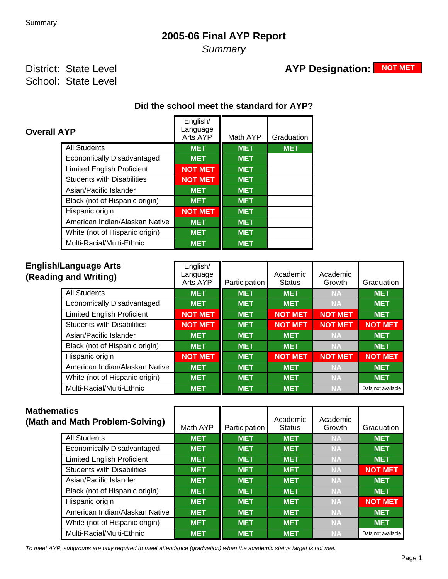## **2005-06 Final AYP Report**

**Summary** 

### District: State Level School: State Level

# **AYP Designation: NOT MET**

# **Did the school meet the standard for AYP?**

| <b>Overall AYP</b>                | English/<br>Language<br>Arts AYP | Math AYP   | Graduation |
|-----------------------------------|----------------------------------|------------|------------|
| <b>All Students</b>               | <b>MET</b>                       | <b>MET</b> | <b>MET</b> |
| Economically Disadvantaged        | <b>MET</b>                       | <b>MET</b> |            |
| <b>Limited English Proficient</b> | <b>NOT MET</b>                   | <b>MET</b> |            |
| <b>Students with Disabilities</b> | <b>NOT MET</b>                   | <b>MET</b> |            |
| Asian/Pacific Islander            | <b>MET</b>                       | <b>MET</b> |            |
| Black (not of Hispanic origin)    | <b>MET</b>                       | <b>MET</b> |            |
| Hispanic origin                   | <b>NOT MET</b>                   | <b>MET</b> |            |
| American Indian/Alaskan Native    | <b>MET</b>                       | <b>MET</b> |            |
| White (not of Hispanic origin)    | <b>MET</b>                       | <b>MET</b> |            |
| Multi-Racial/Multi-Ethnic         | <b>MET</b>                       | <b>MET</b> |            |

| <b>English/Language Arts</b><br>(Reading and Writing) | English/<br>Language<br>Arts AYP | <b>Participation</b> | Academic<br><b>Status</b> | Academic<br>Growth | Graduation         |
|-------------------------------------------------------|----------------------------------|----------------------|---------------------------|--------------------|--------------------|
| <b>All Students</b>                                   | <b>MET</b>                       | <b>MET</b>           | <b>MET</b>                | <b>NA</b>          | <b>MET</b>         |
| <b>Economically Disadvantaged</b>                     | <b>MET</b>                       | <b>MET</b>           | <b>MET</b>                | <b>NA</b>          | <b>MET</b>         |
| <b>Limited English Proficient</b>                     | <b>NOT MET</b>                   | <b>MET</b>           | <b>NOT MET</b>            | <b>NOT MET</b>     | <b>MET</b>         |
| <b>Students with Disabilities</b>                     | <b>NOT MET</b>                   | <b>MET</b>           | <b>NOT MET</b>            | <b>NOT MET</b>     | <b>NOT MET</b>     |
| Asian/Pacific Islander                                | <b>MET</b>                       | <b>MET</b>           | <b>MET</b>                | <b>NA</b>          | <b>MET</b>         |
| Black (not of Hispanic origin)                        | <b>MET</b>                       | <b>MET</b>           | <b>MET</b>                | <b>NA</b>          | <b>MET</b>         |
| Hispanic origin                                       | <b>NOT MET</b>                   | <b>MET</b>           | <b>NOT MET</b>            | <b>NOT MET</b>     | <b>NOT MET</b>     |
| American Indian/Alaskan Native                        | <b>MET</b>                       | <b>MET</b>           | <b>MET</b>                | <b>NA</b>          | <b>MET</b>         |
| White (not of Hispanic origin)                        | <b>MET</b>                       | <b>MET</b>           | <b>MET</b>                | <b>NA</b>          | <b>MET</b>         |
| Multi-Racial/Multi-Ethnic                             | <b>MET</b>                       | <b>MET</b>           | <b>MET</b>                | <b>NA</b>          | Data not available |

| <b>Mathematics</b> | (Math and Math Problem-Solving)   | Math AYP   | Participation | Academic<br><b>Status</b> | Academic<br>Growth | Graduation         |
|--------------------|-----------------------------------|------------|---------------|---------------------------|--------------------|--------------------|
|                    | <b>All Students</b>               | <b>MET</b> | <b>MET</b>    | <b>MET</b>                | <b>NA</b>          | <b>MET</b>         |
|                    | <b>Economically Disadvantaged</b> | <b>MET</b> | <b>MET</b>    | <b>MET</b>                | <b>NA</b>          | <b>MET</b>         |
|                    | <b>Limited English Proficient</b> | <b>MET</b> | <b>MET</b>    | <b>MET</b>                | <b>NA</b>          | <b>MET</b>         |
|                    | <b>Students with Disabilities</b> | <b>MET</b> | <b>MET</b>    | <b>MET</b>                | <b>NA</b>          | <b>NOT MET</b>     |
|                    | Asian/Pacific Islander            | <b>MET</b> | <b>MET</b>    | <b>MET</b>                | <b>NA</b>          | <b>MET</b>         |
|                    | Black (not of Hispanic origin)    | <b>MET</b> | <b>MET</b>    | <b>MET</b>                | <b>NA</b>          | <b>MET</b>         |
|                    | Hispanic origin                   | <b>MET</b> | <b>MET</b>    | <b>MET</b>                | <b>NA</b>          | <b>NOT MET</b>     |
|                    | American Indian/Alaskan Native    | <b>MET</b> | <b>MET</b>    | <b>MET</b>                | <b>NA</b>          | <b>MET</b>         |
|                    | White (not of Hispanic origin)    | <b>MET</b> | <b>MET</b>    | <b>MET</b>                | <b>NA</b>          | <b>MET</b>         |
|                    | Multi-Racial/Multi-Ethnic         | <b>MET</b> | <b>MET</b>    | <b>MET</b>                | <b>NA</b>          | Data not available |

To meet AYP, subgroups are only required to meet attendance (graduation) when the academic status target is not met.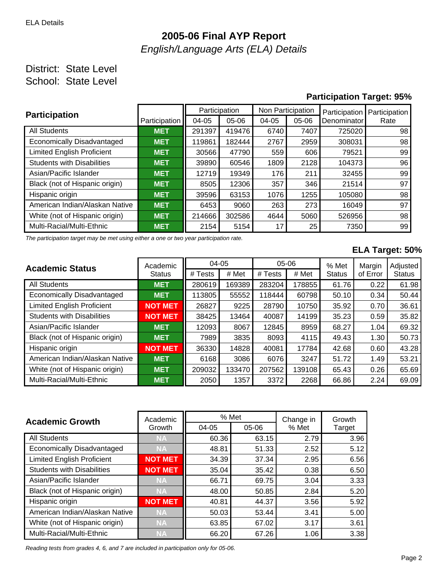# **2005-06 Final AYP Report** English/Language Arts (ELA) Details

#### District: State Level School: State Level

#### **Participation Target: 95%**

| <b>Participation</b>              |               | Participation |        | Non Participation |         | Participation | Participation |
|-----------------------------------|---------------|---------------|--------|-------------------|---------|---------------|---------------|
|                                   | Participation | 04-05         | 05-06  | $04 - 05$         | $05-06$ | Denominator   | Rate          |
| <b>All Students</b>               | <b>MET</b>    | 291397        | 419476 | 6740              | 7407    | 725020        | 98            |
| Economically Disadvantaged        | <b>MET</b>    | 119861        | 182444 | 2767              | 2959    | 308031        | 98            |
| <b>Limited English Proficient</b> | <b>MET</b>    | 30566         | 47790  | 559               | 606     | 79521         | 99            |
| <b>Students with Disabilities</b> | <b>MET</b>    | 39890         | 60546  | 1809              | 2128    | 104373        | 96            |
| Asian/Pacific Islander            | <b>MET</b>    | 12719         | 19349  | 176               | 211     | 32455         | 99            |
| Black (not of Hispanic origin)    | <b>MET</b>    | 8505          | 12306  | 357               | 346     | 21514         | 97            |
| Hispanic origin                   | <b>MET</b>    | 39596         | 63153  | 1076              | 1255    | 105080        | 98            |
| American Indian/Alaskan Native    | <b>MET</b>    | 6453          | 9060   | 263               | 273     | 16049         | 97            |
| White (not of Hispanic origin)    | <b>MET</b>    | 214666        | 302586 | 4644<br>5060      |         | 526956        | 98            |
| Multi-Racial/Multi-Ethnic         | <b>MET</b>    | 2154          | 5154   | 17                | 25      | 7350          | 99            |

The participation target may be met using either a one or two year participation rate.

#### **ELA Target: 50%**

| <b>Academic Status</b>            | Academic       |         | $04 - 05$ |         | 05-06  |               | Margin   | Adjusted      |
|-----------------------------------|----------------|---------|-----------|---------|--------|---------------|----------|---------------|
|                                   | <b>Status</b>  | # Tests | # Met     | # Tests | # Met  | <b>Status</b> | of Error | <b>Status</b> |
| <b>All Students</b>               | <b>MET</b>     | 280619  | 169389    | 283204  | 178855 | 61.76         | 0.22     | 61.98         |
| Economically Disadvantaged        | <b>MET</b>     | 113805  | 55552     | 118444  | 60798  | 50.10         | 0.34     | 50.44         |
| <b>Limited English Proficient</b> | <b>NOT MET</b> | 26827   | 9225      | 28790   | 10750  | 35.92         | 0.70     | 36.61         |
| <b>Students with Disabilities</b> | <b>NOT MET</b> | 38425   | 13464     | 40087   | 14199  | 35.23         | 0.59     | 35.82         |
| Asian/Pacific Islander            | <b>MET</b>     | 12093   | 8067      | 12845   | 8959   | 68.27         | 1.04     | 69.32         |
| Black (not of Hispanic origin)    | <b>MET</b>     | 7989    | 3835      | 8093    | 4115   | 49.43         | 1.30     | 50.73         |
| Hispanic origin                   | <b>NOT MET</b> | 36330   | 14828     | 40081   | 17784  | 42.68         | 0.60     | 43.28         |
| American Indian/Alaskan Native    | <b>MET</b>     | 6168    | 3086      | 6076    | 3247   | 51.72         | 1.49     | 53.21         |
| White (not of Hispanic origin)    | <b>MET</b>     | 209032  | 133470    | 207562  | 139108 | 65.43         | 0.26     | 65.69         |
| Multi-Racial/Multi-Ethnic         | <b>MET</b>     | 2050    | 1357      | 3372    | 2268   | 66.86         | 2.24     | 69.09         |

| <b>Academic Growth</b>            | Academic       | % Met |       | Change in | Growth |  |
|-----------------------------------|----------------|-------|-------|-----------|--------|--|
|                                   | Growth         | 04-05 | 05-06 | % Met     | Target |  |
| <b>All Students</b>               | <b>NA</b>      | 60.36 | 63.15 | 2.79      | 3.96   |  |
| Economically Disadvantaged        | <b>NA</b>      | 48.81 | 51.33 | 2.52      | 5.12   |  |
| <b>Limited English Proficient</b> | <b>NOT MET</b> | 34.39 | 37.34 | 2.95      | 6.56   |  |
| <b>Students with Disabilities</b> | <b>NOT MET</b> | 35.04 | 35.42 | 0.38      | 6.50   |  |
| Asian/Pacific Islander            | <b>NA</b>      | 66.71 | 69.75 | 3.04      | 3.33   |  |
| Black (not of Hispanic origin)    | <b>NA</b>      | 48.00 | 50.85 | 2.84      | 5.20   |  |
| Hispanic origin                   | <b>NOT MET</b> | 40.81 | 44.37 | 3.56      | 5.92   |  |
| American Indian/Alaskan Native    | <b>NA</b>      | 50.03 | 53.44 | 3.41      | 5.00   |  |
| White (not of Hispanic origin)    | <b>NA</b>      | 63.85 | 67.02 | 3.17      | 3.61   |  |
| Multi-Racial/Multi-Ethnic         | <b>NA</b>      | 66.20 | 67.26 | 1.06      | 3.38   |  |

Reading tests from grades 4, 6, and 7 are included in participation only for 05-06.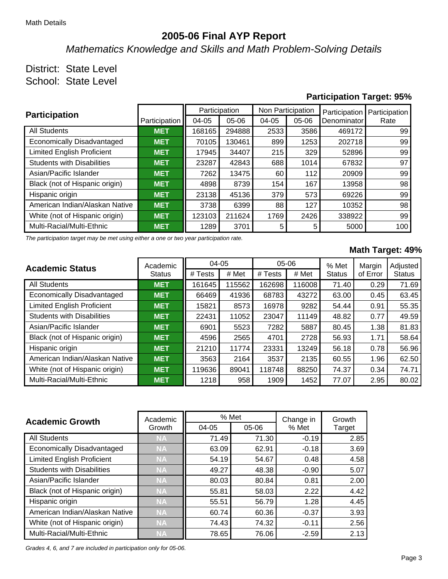### **2005-06 Final AYP Report**

Mathematics Knowledge and Skills and Math Problem-Solving Details

# District: State Level

School: State Level

#### **Participation Target: 95%**

| <b>Participation</b>              |               |        | Participation | Non Participation |         | Participation | Participation |
|-----------------------------------|---------------|--------|---------------|-------------------|---------|---------------|---------------|
|                                   | Participation | 04-05  | 05-06         | $04-05$           | $05-06$ | Denominator   | Rate          |
| <b>All Students</b>               | <b>MET</b>    | 168165 | 294888        | 2533              | 3586    | 469172        | 99            |
| Economically Disadvantaged        | <b>MET</b>    | 70105  | 130461        | 899               | 1253    | 202718        | 99            |
| <b>Limited English Proficient</b> | <b>MET</b>    | 17945  | 34407         | 215               | 329     | 52896         | 99            |
| <b>Students with Disabilities</b> | <b>MET</b>    | 23287  | 42843         | 688               | 1014    | 67832         | 97            |
| Asian/Pacific Islander            | <b>MET</b>    | 7262   | 13475         | 60                | 112     | 20909         | 99            |
| Black (not of Hispanic origin)    | <b>MET</b>    | 4898   | 8739          | 154               | 167     | 13958         | 98            |
| Hispanic origin                   | <b>MET</b>    | 23138  | 45136         | 379               | 573     | 69226         | 99            |
| American Indian/Alaskan Native    | <b>MET</b>    | 3738   | 6399          | 88                | 127     | 10352         | 98            |
| White (not of Hispanic origin)    | <b>MET</b>    | 123103 | 211624        | 2426<br>1769      |         | 338922        | 99            |
| Multi-Racial/Multi-Ethnic         | <b>MET</b>    | 1289   | 3701          | 5                 | 5       | 5000          | 100           |

The participation target may be met using either a one or two year participation rate.

#### **Math Target: 49%**

| <b>Academic Status</b>            | Academic      |         | $04 - 05$ |         | $05-06$ |               | Margin   | Adjusted      |
|-----------------------------------|---------------|---------|-----------|---------|---------|---------------|----------|---------------|
|                                   | <b>Status</b> | # Tests | # Met     | # Tests | # Met   | <b>Status</b> | of Error | <b>Status</b> |
| <b>All Students</b>               | <b>MET</b>    | 161645  | 115562    | 162698  | 116008  | 71.40         | 0.29     | 71.69         |
| Economically Disadvantaged        | <b>MET</b>    | 66469   | 41936     | 68783   | 43272   | 63.00         | 0.45     | 63.45         |
| <b>Limited English Proficient</b> | <b>MET</b>    | 15821   | 8573      | 16978   | 9282    | 54.44         | 0.91     | 55.35         |
| <b>Students with Disabilities</b> | <b>MET</b>    | 22431   | 11052     | 23047   | 11149   | 48.82         | 0.77     | 49.59         |
| Asian/Pacific Islander            | <b>MET</b>    | 6901    | 5523      | 7282    | 5887    | 80.45         | 1.38     | 81.83         |
| Black (not of Hispanic origin)    | <b>MET</b>    | 4596    | 2565      | 4701    | 2728    | 56.93         | 1.71     | 58.64         |
| Hispanic origin                   | <b>MET</b>    | 21210   | 11774     | 23331   | 13249   | 56.18         | 0.78     | 56.96         |
| American Indian/Alaskan Native    | <b>MET</b>    | 3563    | 2164      | 3537    | 2135    | 60.55         | 1.96     | 62.50         |
| White (not of Hispanic origin)    | <b>MET</b>    | 119636  | 89041     | 118748  | 88250   | 74.37         | 0.34     | 74.71         |
| Multi-Racial/Multi-Ethnic         | <b>MET</b>    | 1218    | 958       | 1909    | 1452    | 77.07         | 2.95     | 80.02         |

| <b>Academic Growth</b>            | Academic  | % Met |         | Change in | Growth |  |
|-----------------------------------|-----------|-------|---------|-----------|--------|--|
|                                   | Growth    | 04-05 | $05-06$ | % Met     | Target |  |
| <b>All Students</b>               | <b>NA</b> | 71.49 | 71.30   | $-0.19$   | 2.85   |  |
| <b>Economically Disadvantaged</b> | <b>NA</b> | 63.09 | 62.91   | $-0.18$   | 3.69   |  |
| <b>Limited English Proficient</b> | <b>NA</b> | 54.19 | 54.67   | 0.48      | 4.58   |  |
| <b>Students with Disabilities</b> | <b>NA</b> | 49.27 | 48.38   | $-0.90$   | 5.07   |  |
| Asian/Pacific Islander            | <b>NA</b> | 80.03 | 80.84   | 0.81      | 2.00   |  |
| Black (not of Hispanic origin)    | <b>NA</b> | 55.81 | 58.03   | 2.22      | 4.42   |  |
| Hispanic origin                   | <b>NA</b> | 55.51 | 56.79   | 1.28      | 4.45   |  |
| American Indian/Alaskan Native    | <b>NA</b> | 60.74 | 60.36   | $-0.37$   | 3.93   |  |
| White (not of Hispanic origin)    | <b>NA</b> | 74.43 | 74.32   | $-0.11$   | 2.56   |  |
| Multi-Racial/Multi-Ethnic         | <b>NA</b> | 78.65 | 76.06   | $-2.59$   | 2.13   |  |

Grades 4, 6, and 7 are included in participation only for 05-06.